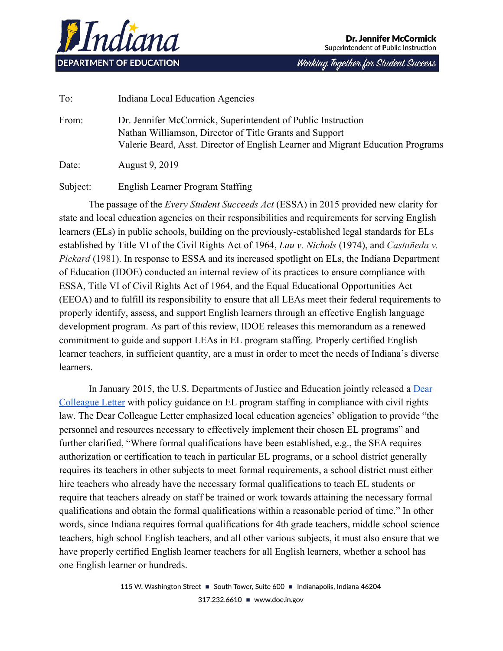

Working Together for Student Success

To: Indiana Local Education Agencies From: Dr. Jennifer McCormick, Superintendent of Public Instruction Nathan Williamson, Director of Title Grants and Support Valerie Beard, Asst. Director of English Learner and Migrant Education Programs Date: August 9, 2019

Subject: English Learner Program Staffing

The passage of the *Every Student Succeeds Act* (ESSA) in 2015 provided new clarity for state and local education agencies on their responsibilities and requirements for serving English learners (ELs) in public schools, building on the previously-established legal standards for ELs established by Title VI of the Civil Rights Act of 1964, *Lau v. Nichols* (1974), and *Castañeda v. Pickard* (1981). In response to ESSA and its increased spotlight on ELs, the Indiana Department of Education (IDOE) conducted an internal review of its practices to ensure compliance with ESSA, Title VI of Civil Rights Act of 1964, and the Equal Educational Opportunities Act (EEOA) and to fulfill its responsibility to ensure that all LEAs meet their federal requirements to properly identify, assess, and support English learners through an effective English language development program. As part of this review, IDOE releases this memorandum as a renewed commitment to guide and support LEAs in EL program staffing. Properly certified English learner teachers, in sufficient quantity, are a must in order to meet the needs of Indiana's diverse learners.

In January 2015, the U.S. Departments of Justice and Education jointly released a **[Dear](https://www2.ed.gov/about/offices/list/ocr/letters/colleague-el-201501.pdf)** [Colleague Letter](https://www2.ed.gov/about/offices/list/ocr/letters/colleague-el-201501.pdf) with policy guidance on EL program staffing in compliance with civil rights law. The Dear Colleague Letter emphasized local education agencies' obligation to provide "the personnel and resources necessary to effectively implement their chosen EL programs" and further clarified, "Where formal qualifications have been established, e.g., the SEA requires authorization or certification to teach in particular EL programs, or a school district generally requires its teachers in other subjects to meet formal requirements, a school district must either hire teachers who already have the necessary formal qualifications to teach EL students or require that teachers already on staff be trained or work towards attaining the necessary formal qualifications and obtain the formal qualifications within a reasonable period of time." In other words, since Indiana requires formal qualifications for 4th grade teachers, middle school science teachers, high school English teachers, and all other various subjects, it must also ensure that we have properly certified English learner teachers for all English learners, whether a school has one English learner or hundreds.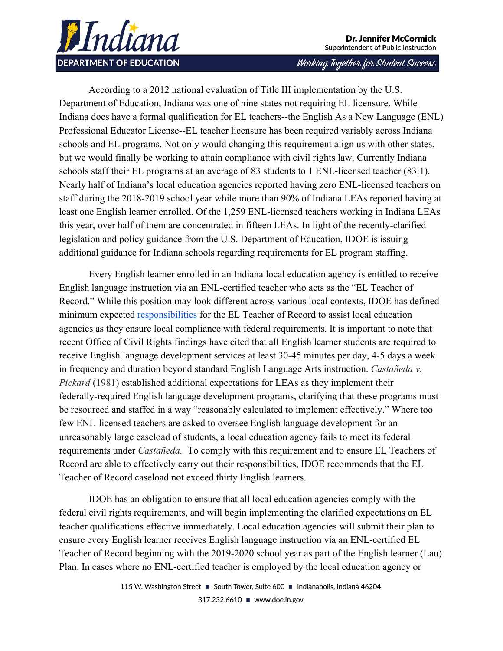

Working Together for Student Success

According to a 2012 national evaluation of Title III implementation by the U.S. Department of Education, Indiana was one of nine states not requiring EL licensure. While Indiana does have a formal qualification for EL teachers--the English As a New Language (ENL) Professional Educator License--EL teacher licensure has been required variably across Indiana schools and EL programs. Not only would changing this requirement align us with other states, but we would finally be working to attain compliance with civil rights law. Currently Indiana schools staff their EL programs at an average of 83 students to 1 ENL-licensed teacher (83:1). Nearly half of Indiana's local education agencies reported having zero ENL-licensed teachers on staff during the 2018-2019 school year while more than 90% of Indiana LEAs reported having at least one English learner enrolled. Of the 1,259 ENL-licensed teachers working in Indiana LEAs this year, over half of them are concentrated in fifteen LEAs. In light of the recently-clarified legislation and policy guidance from the U.S. Department of Education, IDOE is issuing additional guidance for Indiana schools regarding requirements for EL program staffing.

Every English learner enrolled in an Indiana local education agency is entitled to receive English language instruction via an ENL-certified teacher who acts as the "EL Teacher of Record." While this position may look different across various local contexts, IDOE has defined minimum expected [responsibilities](https://www.doe.in.gov/elme/english-learner-policy-and-guidance) for the EL Teacher of Record to assist local education agencies as they ensure local compliance with federal requirements. It is important to note that recent Office of Civil Rights findings have cited that all English learner students are required to receive English language development services at least 30-45 minutes per day, 4-5 days a week in frequency and duration beyond standard English Language Arts instruction. *Castañeda v. Pickard* (1981) established additional expectations for LEAs as they implement their federally-required English language development programs, clarifying that these programs must be resourced and staffed in a way "reasonably calculated to implement effectively." Where too few ENL-licensed teachers are asked to oversee English language development for an unreasonably large caseload of students, a local education agency fails to meet its federal requirements under *Castañeda.* To comply with this requirement and to ensure EL Teachers of Record are able to effectively carry out their responsibilities, IDOE recommends that the EL Teacher of Record caseload not exceed thirty English learners.

IDOE has an obligation to ensure that all local education agencies comply with the federal civil rights requirements, and will begin implementing the clarified expectations on EL teacher qualifications effective immediately. Local education agencies will submit their plan to ensure every English learner receives English language instruction via an ENL-certified EL Teacher of Record beginning with the 2019-2020 school year as part of the English learner (Lau) Plan. In cases where no ENL-certified teacher is employed by the local education agency or